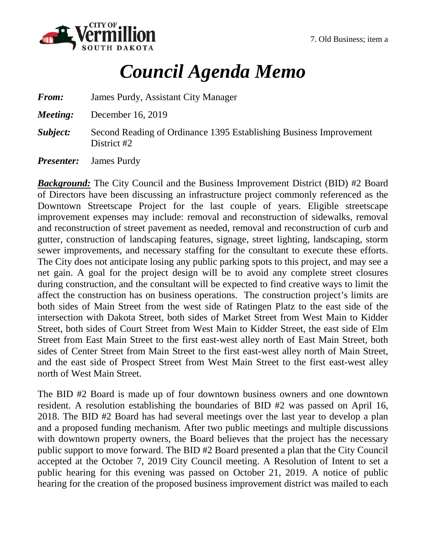

## *Council Agenda Memo*

*From:* James Purdy, Assistant City Manager

*Meeting:* December 16, 2019

**Subject:** Second Reading of Ordinance 1395 Establishing Business Improvement District #2

*Presenter:* James Purdy

*Background:* The City Council and the Business Improvement District (BID) #2 Board of Directors have been discussing an infrastructure project commonly referenced as the Downtown Streetscape Project for the last couple of years. Eligible streetscape improvement expenses may include: removal and reconstruction of sidewalks, removal and reconstruction of street pavement as needed, removal and reconstruction of curb and gutter, construction of landscaping features, signage, street lighting, landscaping, storm sewer improvements, and necessary staffing for the consultant to execute these efforts. The City does not anticipate losing any public parking spots to this project, and may see a net gain. A goal for the project design will be to avoid any complete street closures during construction, and the consultant will be expected to find creative ways to limit the affect the construction has on business operations. The construction project's limits are both sides of Main Street from the west side of Ratingen Platz to the east side of the intersection with Dakota Street, both sides of Market Street from West Main to Kidder Street, both sides of Court Street from West Main to Kidder Street, the east side of Elm Street from East Main Street to the first east-west alley north of East Main Street, both sides of Center Street from Main Street to the first east-west alley north of Main Street, and the east side of Prospect Street from West Main Street to the first east-west alley north of West Main Street.

The BID #2 Board is made up of four downtown business owners and one downtown resident. A resolution establishing the boundaries of BID #2 was passed on April 16, 2018. The BID #2 Board has had several meetings over the last year to develop a plan and a proposed funding mechanism. After two public meetings and multiple discussions with downtown property owners, the Board believes that the project has the necessary public support to move forward. The BID #2 Board presented a plan that the City Council accepted at the October 7, 2019 City Council meeting. A Resolution of Intent to set a public hearing for this evening was passed on October 21, 2019. A notice of public hearing for the creation of the proposed business improvement district was mailed to each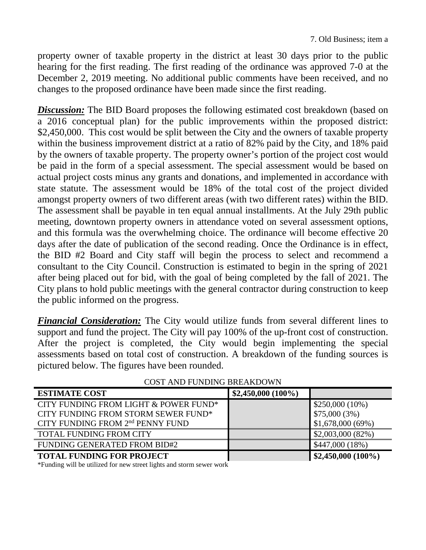property owner of taxable property in the district at least 30 days prior to the public hearing for the first reading. The first reading of the ordinance was approved 7-0 at the December 2, 2019 meeting. No additional public comments have been received, and no changes to the proposed ordinance have been made since the first reading.

**Discussion:** The BID Board proposes the following estimated cost breakdown (based on a 2016 conceptual plan) for the public improvements within the proposed district: \$2,450,000. This cost would be split between the City and the owners of taxable property within the business improvement district at a ratio of 82% paid by the City, and 18% paid by the owners of taxable property. The property owner's portion of the project cost would be paid in the form of a special assessment. The special assessment would be based on actual project costs minus any grants and donations, and implemented in accordance with state statute. The assessment would be 18% of the total cost of the project divided amongst property owners of two different areas (with two different rates) within the BID. The assessment shall be payable in ten equal annual installments. At the July 29th public meeting, downtown property owners in attendance voted on several assessment options, and this formula was the overwhelming choice. The ordinance will become effective 20 days after the date of publication of the second reading. Once the Ordinance is in effect, the BID #2 Board and City staff will begin the process to select and recommend a consultant to the City Council. Construction is estimated to begin in the spring of 2021 after being placed out for bid, with the goal of being completed by the fall of 2021. The City plans to hold public meetings with the general contractor during construction to keep the public informed on the progress.

*Financial Consideration:* The City would utilize funds from several different lines to support and fund the project. The City will pay 100% of the up-front cost of construction. After the project is completed, the City would begin implementing the special assessments based on total cost of construction. A breakdown of the funding sources is pictured below. The figures have been rounded.

| <b>ESTIMATE COST</b>                              | $$2,450,000 (100\%)$ |                    |
|---------------------------------------------------|----------------------|--------------------|
| CITY FUNDING FROM LIGHT & POWER FUND <sup>*</sup> |                      | $$250,000(10\%)$   |
| CITY FUNDING FROM STORM SEWER FUND*               |                      | $$75,000(3\%)$     |
| CITY FUNDING FROM 2 <sup>nd</sup> PENNY FUND      |                      | \$1,678,000(69%)   |
| <b>TOTAL FUNDING FROM CITY</b>                    |                      | \$2,003,000(82%)   |
| <b>FUNDING GENERATED FROM BID#2</b>               |                      | \$447,000(18%)     |
| <b>TOTAL FUNDING FOR PROJECT</b>                  |                      | \$2,450,000 (100%) |

COST AND FUNDING BREAKDOWN

\*Funding will be utilized for new street lights and storm sewer work